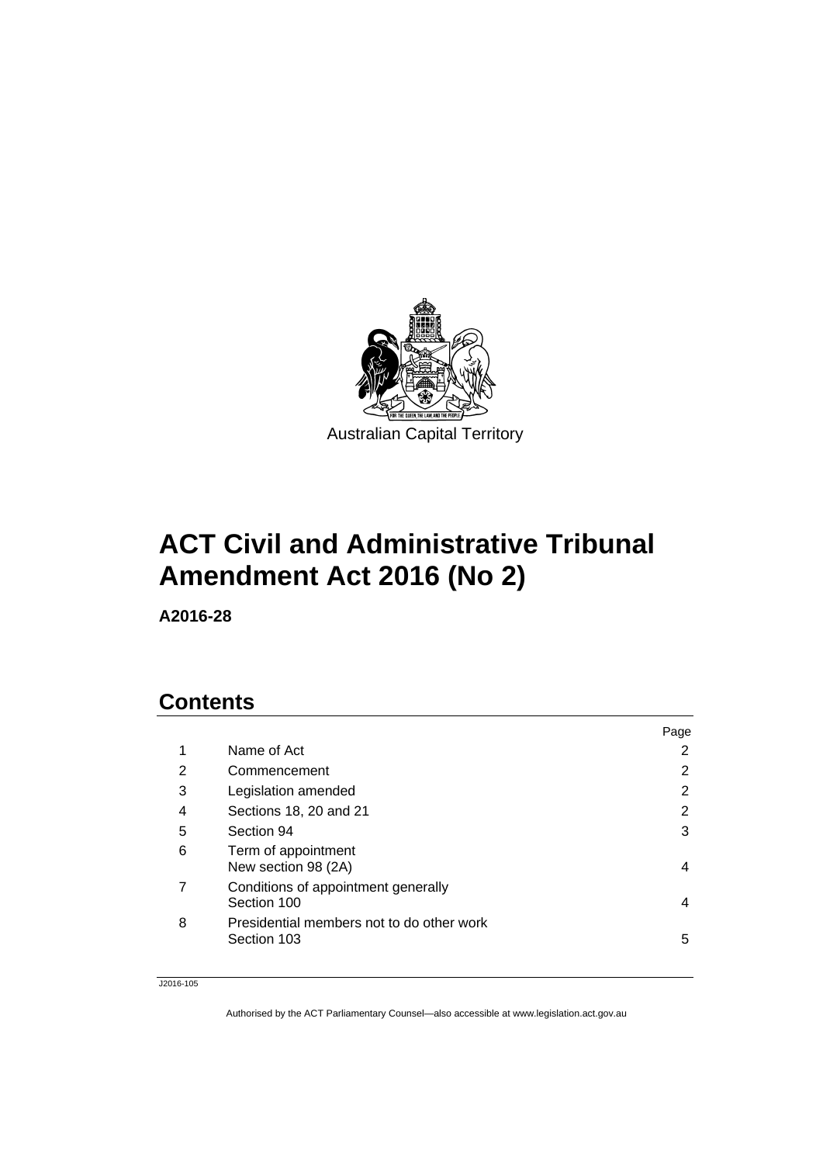

# **ACT Civil and Administrative Tribunal Amendment Act 2016 (No 2)**

**A2016-28** 

## **Contents**

|   |                                                          | Page |
|---|----------------------------------------------------------|------|
| 1 | Name of Act                                              | 2    |
| 2 | Commencement                                             | 2    |
| 3 | Legislation amended                                      | 2    |
| 4 | Sections 18, 20 and 21                                   | 2    |
| 5 | Section 94                                               | 3    |
| 6 | Term of appointment<br>New section 98 (2A)               | 4    |
|   | Conditions of appointment generally<br>Section 100       | 4    |
| 8 | Presidential members not to do other work<br>Section 103 | 5    |

#### J2016-105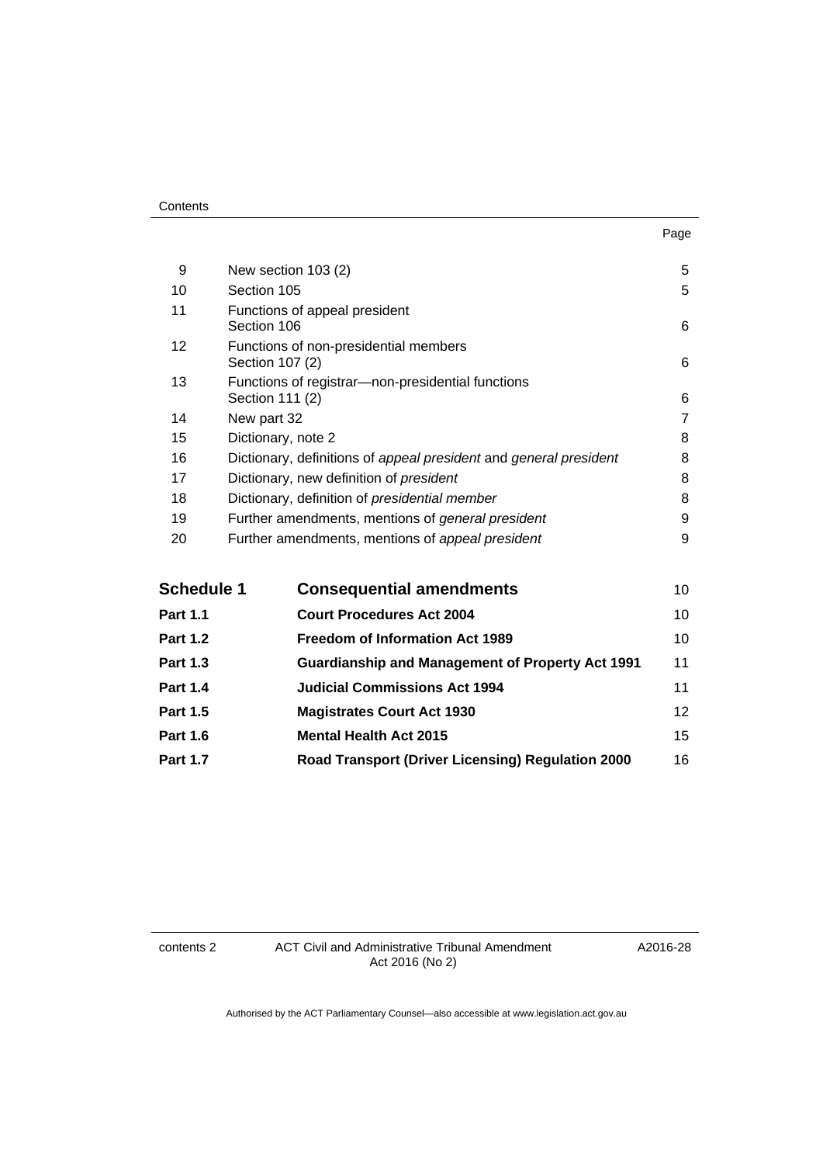| . .<br>×<br>×<br>۰. |
|---------------------|
|---------------------|

| 9  | New section 103 (2)                                                  | 5              |
|----|----------------------------------------------------------------------|----------------|
| 10 | Section 105                                                          | 5              |
| 11 | Functions of appeal president<br>Section 106                         | 6              |
| 12 | Functions of non-presidential members<br>Section 107 (2)             | 6              |
| 13 | Functions of registrar—non-presidential functions<br>Section 111 (2) | 6              |
| 14 | New part 32                                                          | $\overline{7}$ |
| 15 | Dictionary, note 2                                                   | 8              |
| 16 | Dictionary, definitions of appeal president and general president    | 8              |
| 17 | Dictionary, new definition of president                              | 8              |
| 18 | Dictionary, definition of presidential member                        | 8              |
| 19 | Further amendments, mentions of general president                    | 9              |
| 20 | Further amendments, mentions of appeal president                     | 9              |
|    |                                                                      |                |

| <b>Schedule 1</b> | <b>Consequential amendments</b>                          | 10 |
|-------------------|----------------------------------------------------------|----|
| <b>Part 1.1</b>   | <b>Court Procedures Act 2004</b>                         | 10 |
| <b>Part 1.2</b>   | <b>Freedom of Information Act 1989</b>                   | 10 |
| <b>Part 1.3</b>   | <b>Guardianship and Management of Property Act 1991</b>  | 11 |
| <b>Part 1.4</b>   | <b>Judicial Commissions Act 1994</b>                     | 11 |
| <b>Part 1.5</b>   | <b>Magistrates Court Act 1930</b>                        | 12 |
| <b>Part 1.6</b>   | <b>Mental Health Act 2015</b>                            | 15 |
| <b>Part 1.7</b>   | <b>Road Transport (Driver Licensing) Regulation 2000</b> | 16 |

contents 2 ACT Civil and Administrative Tribunal Amendment Act 2016 (No 2)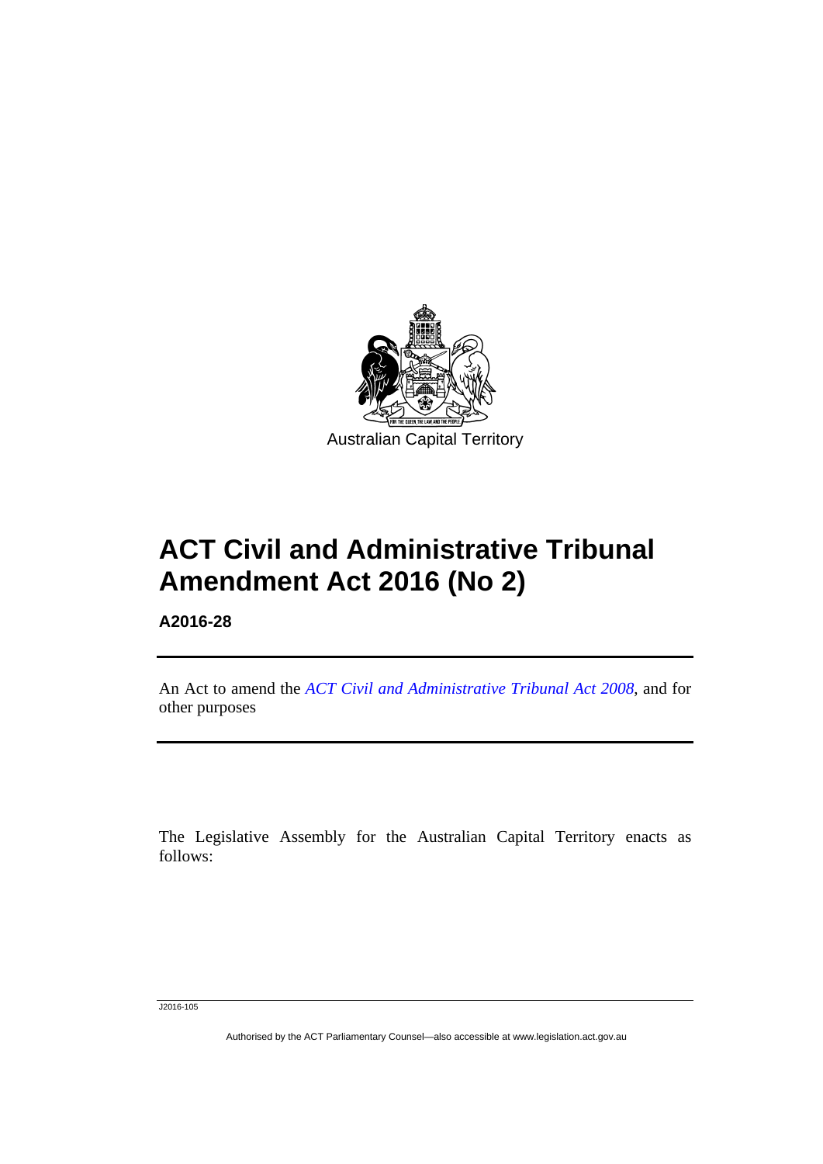

# **ACT Civil and Administrative Tribunal Amendment Act 2016 (No 2)**

**A2016-28** 

l

An Act to amend the *[ACT Civil and Administrative Tribunal Act 2008](http://www.legislation.act.gov.au/a/2008-35)*, and for other purposes

The Legislative Assembly for the Australian Capital Territory enacts as follows:

J2016-105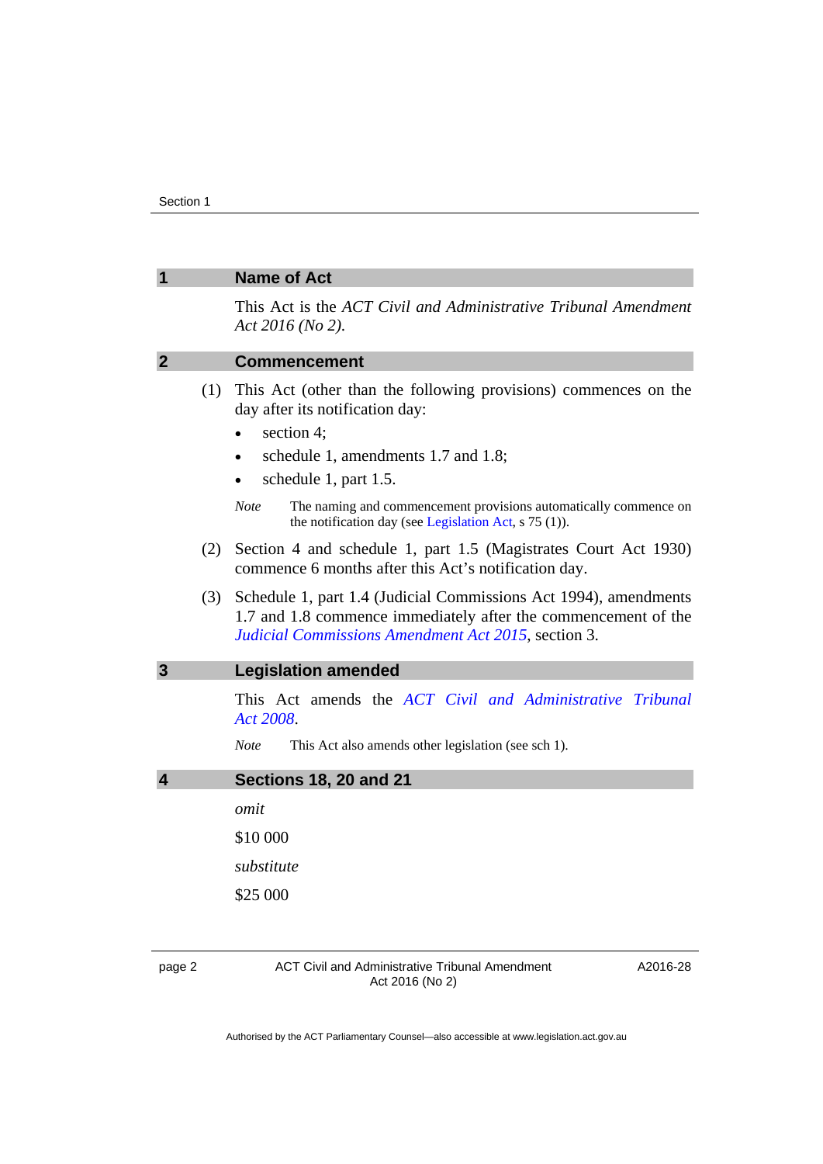<span id="page-3-3"></span><span id="page-3-2"></span><span id="page-3-1"></span><span id="page-3-0"></span>

|                |     | <b>Name of Act</b>                                                                                                                                                                            |
|----------------|-----|-----------------------------------------------------------------------------------------------------------------------------------------------------------------------------------------------|
|                |     | This Act is the ACT Civil and Administrative Tribunal Amendment<br>Act $2016$ (No 2).                                                                                                         |
| $\mathbf{2}$   |     | <b>Commencement</b>                                                                                                                                                                           |
|                | (1) | This Act (other than the following provisions) commences on the<br>day after its notification day:<br>section 4;<br>schedule 1, amendments 1.7 and 1.8;<br>schedule 1, part 1.5.<br>$\bullet$ |
|                |     | <b>Note</b><br>The naming and commencement provisions automatically commence on<br>the notification day (see Legislation Act, $s$ 75 (1)).                                                    |
|                | (2) | Section 4 and schedule 1, part 1.5 (Magistrates Court Act 1930)<br>commence 6 months after this Act's notification day.                                                                       |
|                | (3) | Schedule 1, part 1.4 (Judicial Commissions Act 1994), amendments<br>1.7 and 1.8 commence immediately after the commencement of the<br>Judicial Commissions Amendment Act 2015, section 3.     |
| $\overline{3}$ |     | <b>Legislation amended</b>                                                                                                                                                                    |
|                |     | This Act amends the ACT Civil and Administrative Tribunal<br>Act 2008.                                                                                                                        |
|                |     | <b>Note</b><br>This Act also amends other legislation (see sch 1).                                                                                                                            |
| 4              |     | <b>Sections 18, 20 and 21</b>                                                                                                                                                                 |
|                |     | omit                                                                                                                                                                                          |
|                |     | \$10 000                                                                                                                                                                                      |
|                |     | substitute                                                                                                                                                                                    |
|                |     | \$25 000                                                                                                                                                                                      |
|                |     |                                                                                                                                                                                               |
| page 2         |     | <b>ACT Civil and Administrative Tribunal Amendment</b><br>A2016-28<br>Act 2016 (No 2)                                                                                                         |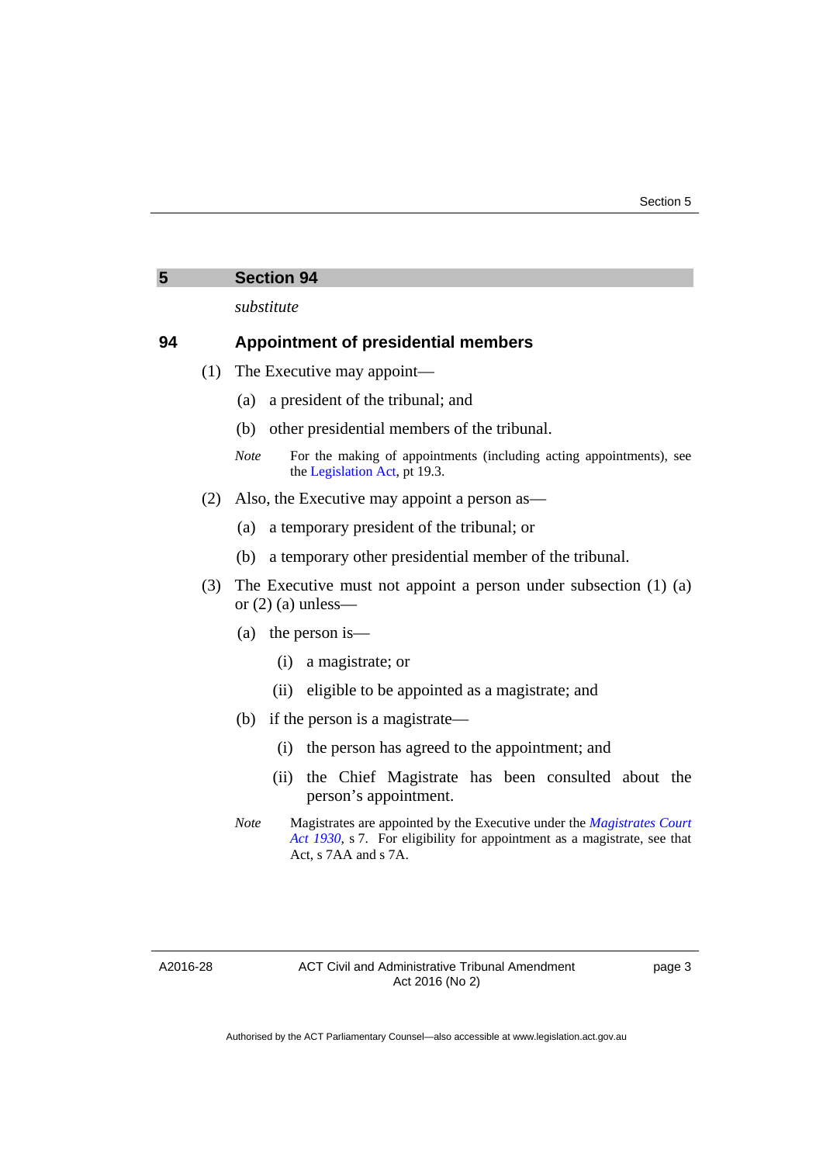<span id="page-4-0"></span>

| 5  |     | <b>Section 94</b>                                                                                                   |
|----|-----|---------------------------------------------------------------------------------------------------------------------|
|    |     | substitute                                                                                                          |
| 94 |     | <b>Appointment of presidential members</b>                                                                          |
|    | (1) | The Executive may appoint—                                                                                          |
|    |     | a president of the tribunal; and<br>(a)                                                                             |
|    |     | other presidential members of the tribunal.<br>(b)                                                                  |
|    |     | For the making of appointments (including acting appointments), see<br><b>Note</b><br>the Legislation Act, pt 19.3. |
|    | (2) | Also, the Executive may appoint a person as—                                                                        |
|    |     | a temporary president of the tribunal; or<br>(a)                                                                    |
|    |     | (b) a temporary other presidential member of the tribunal.                                                          |
|    | (3) | The Executive must not appoint a person under subsection $(1)$ $(a)$<br>or $(2)$ (a) unless—                        |
|    |     | (a) the person is —                                                                                                 |
|    |     | a magistrate; or<br>(i)                                                                                             |
|    |     | eligible to be appointed as a magistrate; and<br>(ii)                                                               |
|    |     | if the person is a magistrate—<br>(b)                                                                               |
|    |     | the person has agreed to the appointment; and<br>(i)                                                                |
|    |     | the Chief Magistrate has been consulted about the<br>(ii)                                                           |

person's appointment. *Note* Magistrates are appointed by the Executive under the *[Magistrates Court](http://www.legislation.act.gov.au/a/1930-21)  [Act 1930](http://www.legislation.act.gov.au/a/1930-21)*, s 7. For eligibility for appointment as a magistrate, see that Act, s 7AA and s 7A.

A2016-28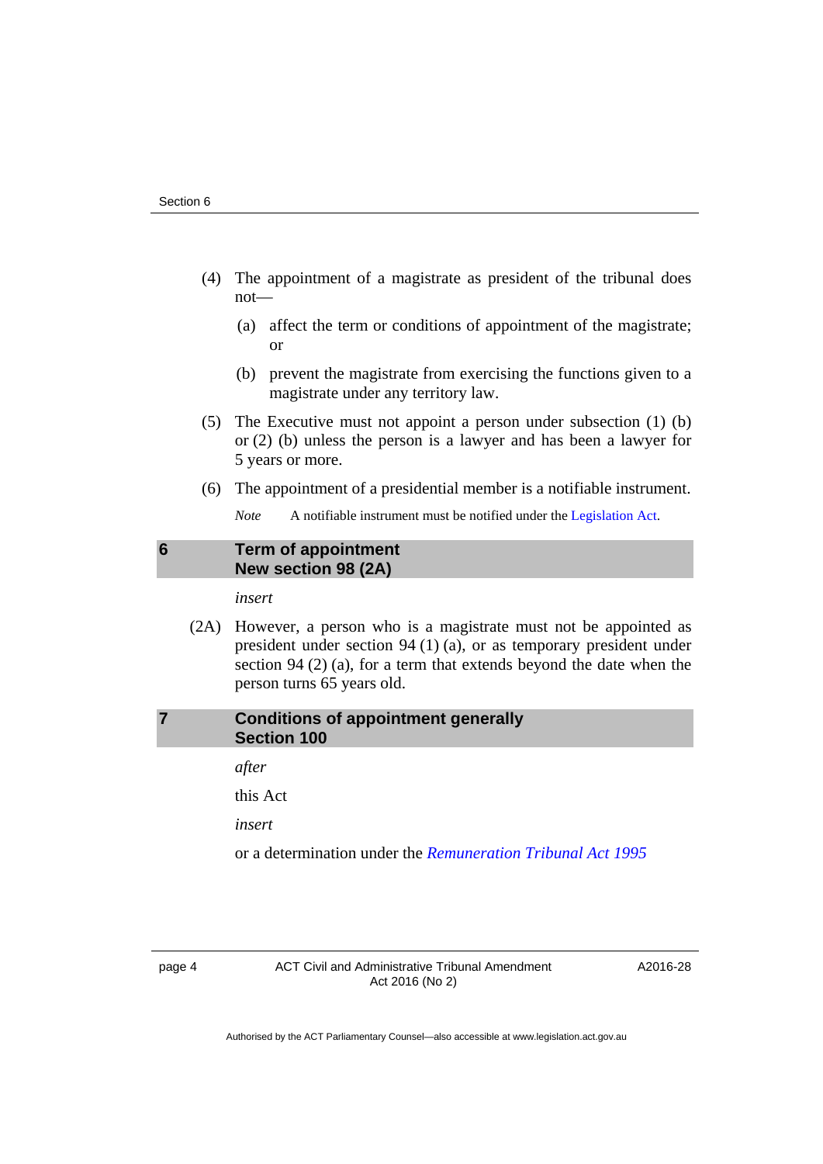- (4) The appointment of a magistrate as president of the tribunal does not—
	- (a) affect the term or conditions of appointment of the magistrate; or
	- (b) prevent the magistrate from exercising the functions given to a magistrate under any territory law.
- (5) The Executive must not appoint a person under subsection (1) (b) or (2) (b) unless the person is a lawyer and has been a lawyer for 5 years or more.
- (6) The appointment of a presidential member is a notifiable instrument.

*Note* A notifiable instrument must be notified under the [Legislation Act](http://www.legislation.act.gov.au/a/2001-14).

## <span id="page-5-0"></span>**6 Term of appointment New section 98 (2A)**

*insert* 

 (2A) However, a person who is a magistrate must not be appointed as president under section 94 (1) (a), or as temporary president under section 94 (2) (a), for a term that extends beyond the date when the person turns 65 years old.

## <span id="page-5-1"></span>**7 Conditions of appointment generally Section 100**

*after* 

this Act

*insert* 

or a determination under the *[Remuneration Tribunal Act 1995](http://www.legislation.act.gov.au/a/1995-55)*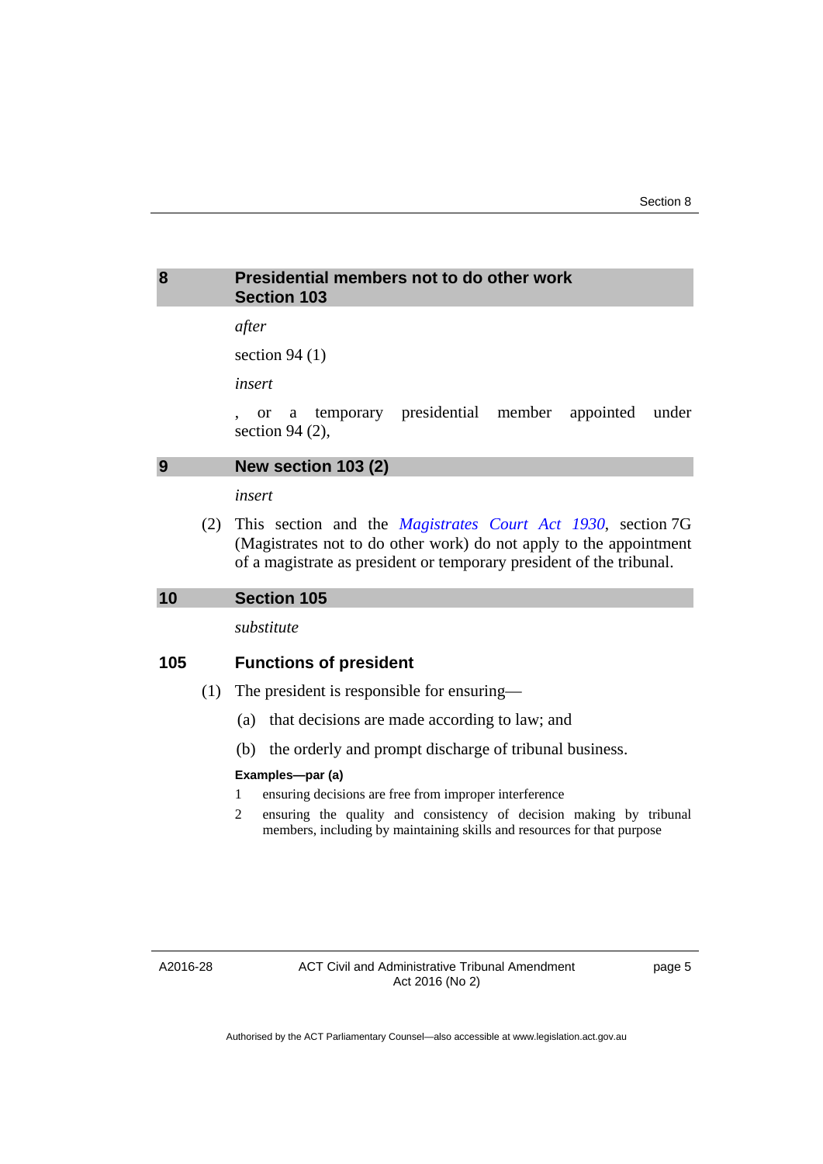## <span id="page-6-0"></span>**8 Presidential members not to do other work Section 103**

## *after*

section 94 (1)

*insert* 

, or a temporary presidential member appointed under section 94 (2),

## <span id="page-6-1"></span>**9 New section 103 (2)**

*insert* 

 (2) This section and the *[Magistrates Court Act 1930](http://www.legislation.act.gov.au/a/1930-21)*, section 7G (Magistrates not to do other work) do not apply to the appointment of a magistrate as president or temporary president of the tribunal.

#### <span id="page-6-2"></span>**10 Section 105**

*substitute* 

## **105 Functions of president**

- (1) The president is responsible for ensuring—
	- (a) that decisions are made according to law; and
	- (b) the orderly and prompt discharge of tribunal business.

#### **Examples—par (a)**

1 ensuring decisions are free from improper interference

2 ensuring the quality and consistency of decision making by tribunal members, including by maintaining skills and resources for that purpose

A2016-28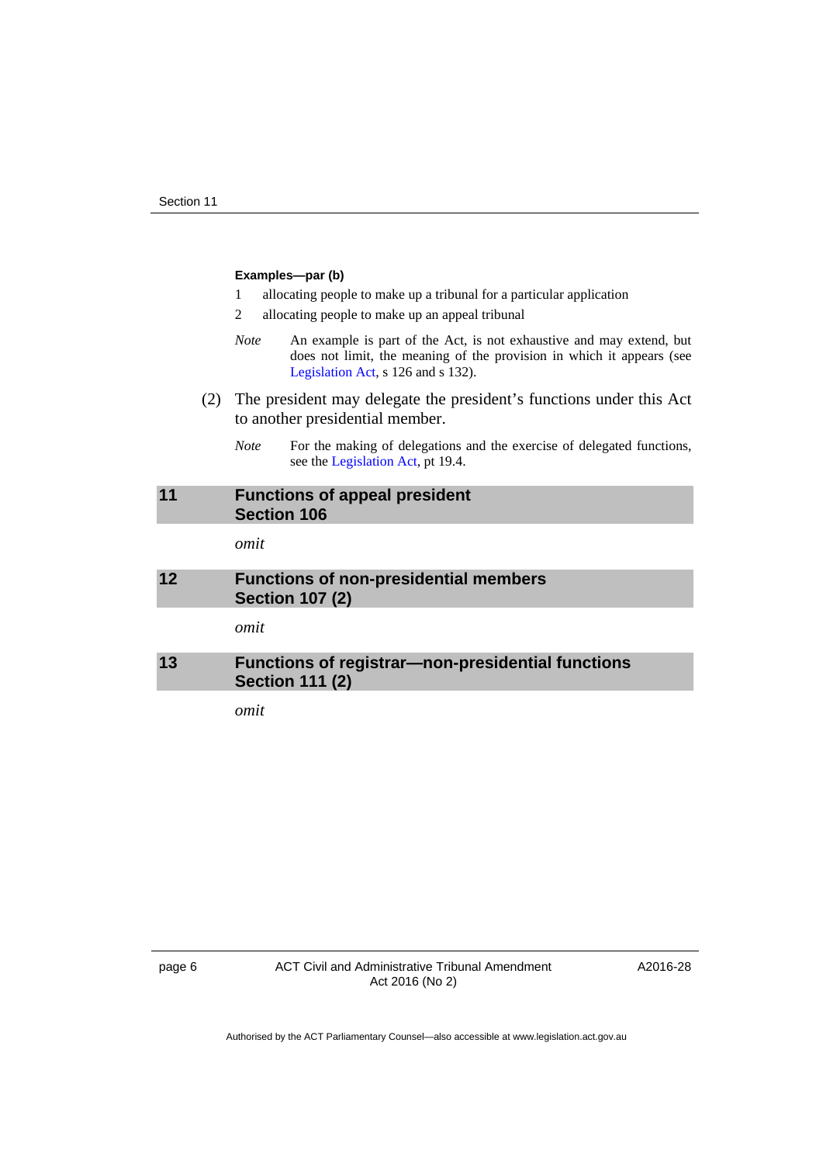#### **Examples—par (b)**

- 1 allocating people to make up a tribunal for a particular application
- 2 allocating people to make up an appeal tribunal
- *Note* An example is part of the Act, is not exhaustive and may extend, but does not limit, the meaning of the provision in which it appears (see [Legislation Act,](http://www.legislation.act.gov.au/a/2001-14) s 126 and s 132).
- (2) The president may delegate the president's functions under this Act to another presidential member.
	- *Note* For the making of delegations and the exercise of delegated functions, see the [Legislation Act,](http://www.legislation.act.gov.au/a/2001-14) pt 19.4.

## <span id="page-7-0"></span>**11 Functions of appeal president Section 106**

*omit* 

## <span id="page-7-1"></span>**12 Functions of non-presidential members Section 107 (2)**

*omit* 

## <span id="page-7-2"></span>**13 Functions of registrar—non-presidential functions Section 111 (2)**

*omit*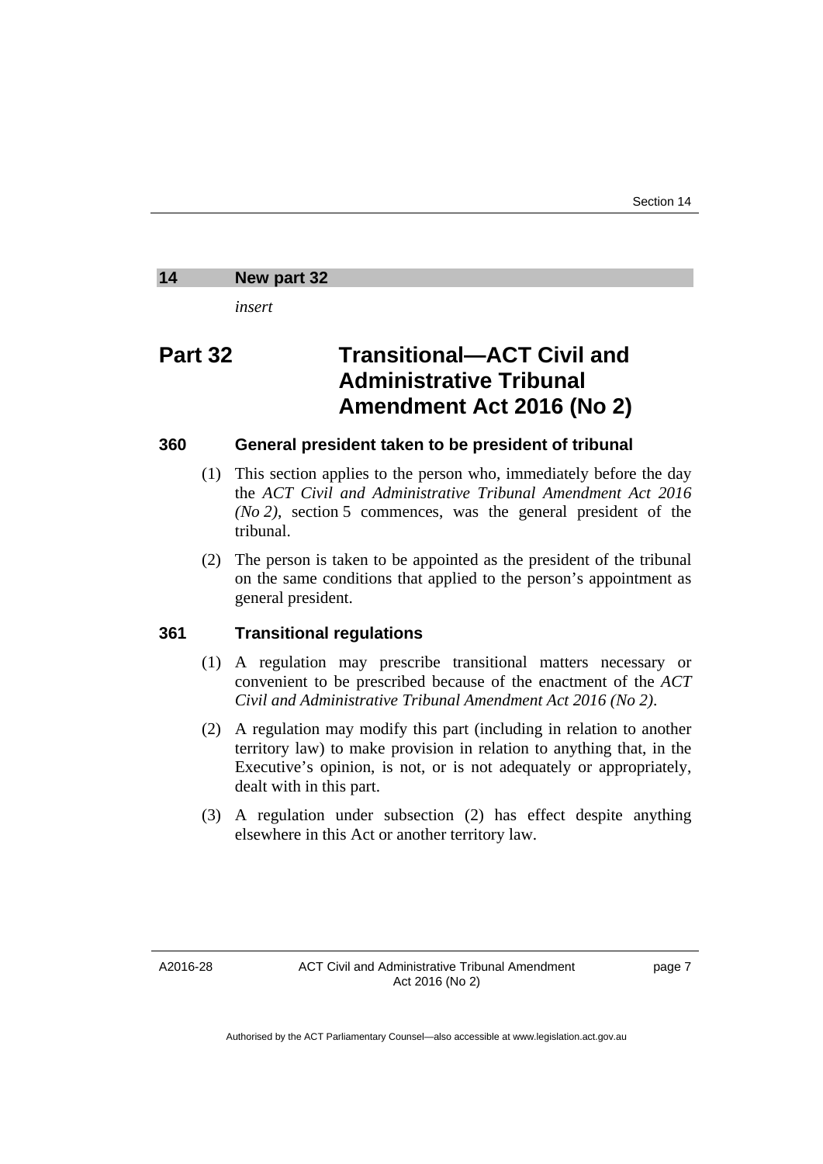#### <span id="page-8-0"></span>**14 New part 32**

*insert* 

## **Part 32 Transitional—ACT Civil and Administrative Tribunal Amendment Act 2016 (No 2)**

## **360 General president taken to be president of tribunal**

- (1) This section applies to the person who, immediately before the day the *ACT Civil and Administrative Tribunal Amendment Act 2016 (No 2)*, section 5 commences, was the general president of the tribunal.
- (2) The person is taken to be appointed as the president of the tribunal on the same conditions that applied to the person's appointment as general president.

#### **361 Transitional regulations**

- (1) A regulation may prescribe transitional matters necessary or convenient to be prescribed because of the enactment of the *ACT Civil and Administrative Tribunal Amendment Act 2016 (No 2)*.
- (2) A regulation may modify this part (including in relation to another territory law) to make provision in relation to anything that, in the Executive's opinion, is not, or is not adequately or appropriately, dealt with in this part.
- (3) A regulation under subsection (2) has effect despite anything elsewhere in this Act or another territory law.

A2016-28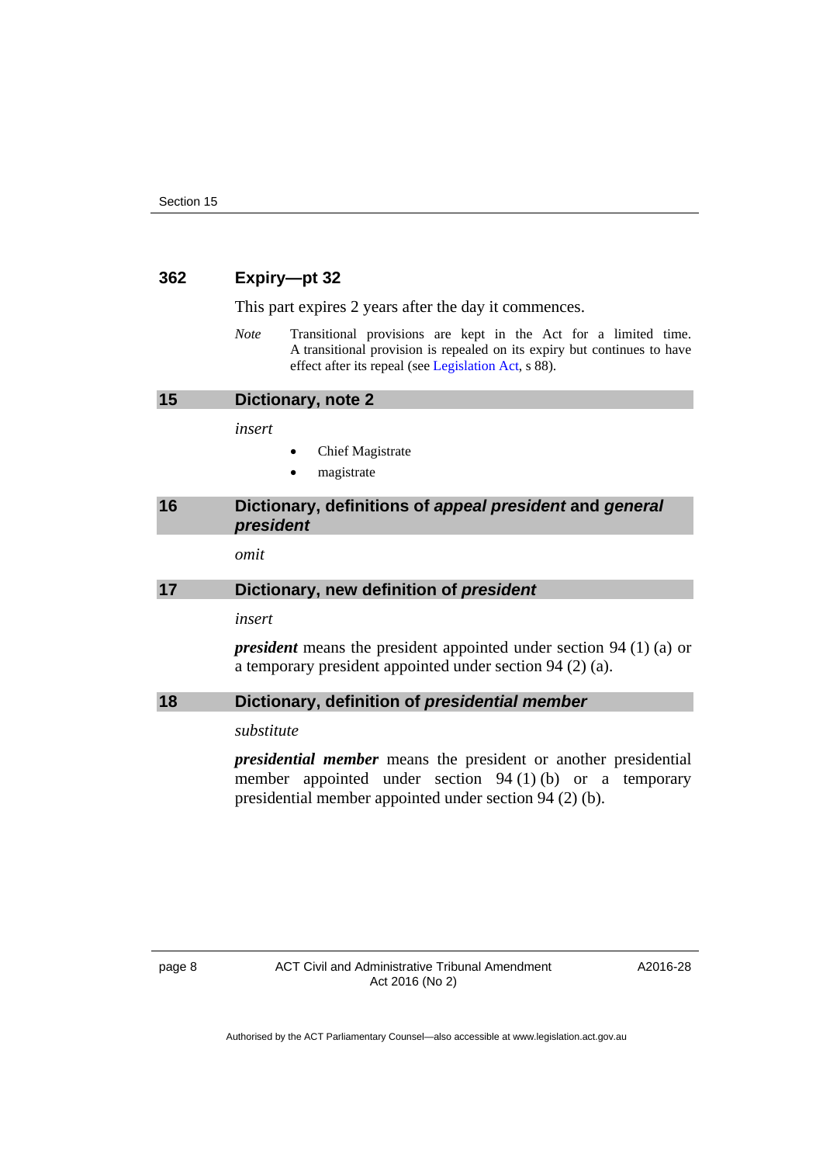#### **362 Expiry—pt 32**

This part expires 2 years after the day it commences.

*Note* Transitional provisions are kept in the Act for a limited time. A transitional provision is repealed on its expiry but continues to have effect after its repeal (see [Legislation Act,](http://www.legislation.act.gov.au/a/2001-14) s 88).

<span id="page-9-0"></span>

*insert* 

- Chief Magistrate
- magistrate

## <span id="page-9-1"></span>**16 Dictionary, definitions of** *appeal president* **and** *general president*

*omit* 

#### <span id="page-9-2"></span>**17 Dictionary, new definition of** *president*

*insert* 

*president* means the president appointed under section 94 (1) (a) or a temporary president appointed under section 94 (2) (a).

#### <span id="page-9-3"></span>**18 Dictionary, definition of** *presidential member*

### *substitute*

*presidential member* means the president or another presidential member appointed under section 94 (1) (b) or a temporary presidential member appointed under section 94 (2) (b).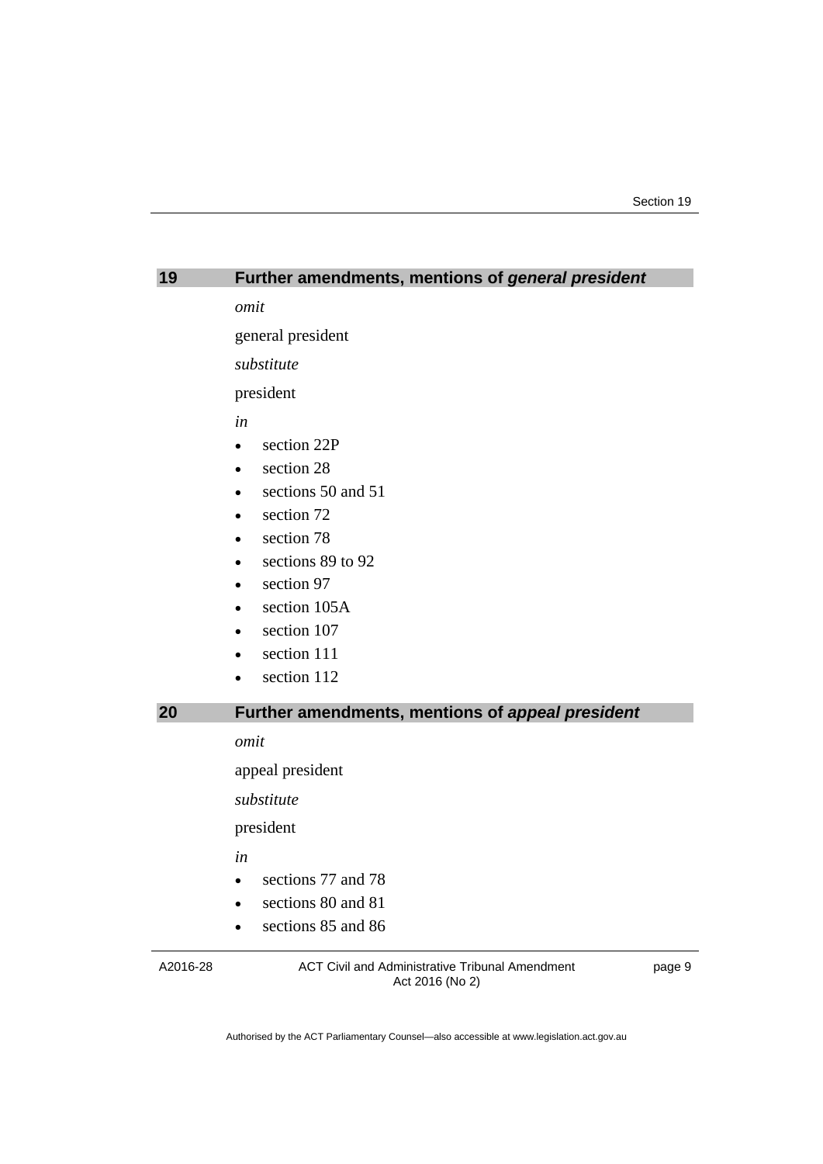<span id="page-10-0"></span>

| 19 | Further amendments, mentions of general president |
|----|---------------------------------------------------|
|    | omit                                              |
|    | general president                                 |
|    | substitute                                        |
|    | president                                         |
|    | in                                                |
|    | section 22P<br>$\bullet$                          |
|    | section 28                                        |
|    | sections 50 and 51                                |
|    | section 72                                        |
|    | section 78                                        |
|    | sections 89 to 92                                 |
|    | section 97                                        |
|    | section 105A                                      |
|    | section 107                                       |
|    | section 111                                       |
|    | section 112                                       |
| 20 | Further amendments, mentions of appeal president  |
|    | omit                                              |
|    | appeal president                                  |
|    | substitute                                        |
|    | president                                         |
|    | in                                                |
|    | sections 77 and 78<br>$\bullet$                   |
|    | sections 80 and 81                                |
|    | sections 85 and 86                                |
|    |                                                   |

<span id="page-10-1"></span>A2016-28

ACT Civil and Administrative Tribunal Amendment Act 2016 (No 2)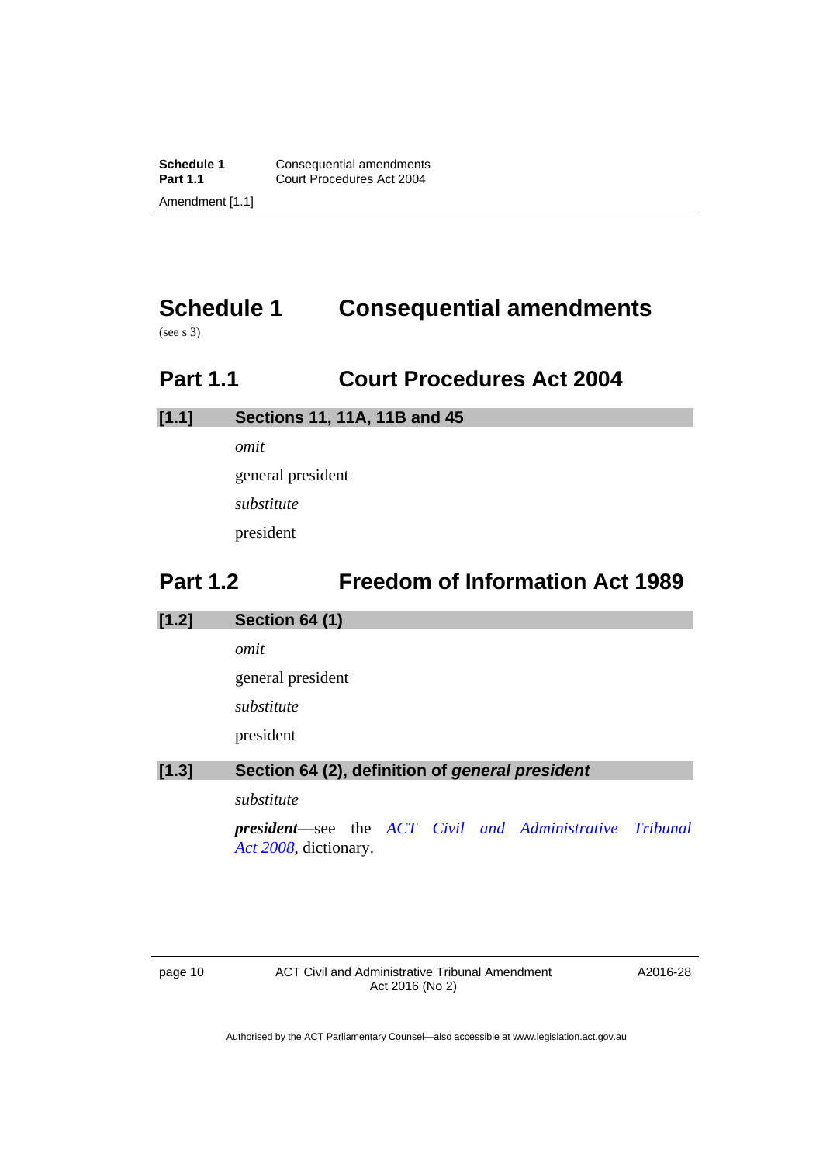# <span id="page-11-0"></span>**Schedule 1 Consequential amendments**

(see s 3)

## <span id="page-11-1"></span>**Part 1.1 Court Procedures Act 2004**

## **[1.1] Sections 11, 11A, 11B and 45**

*omit* 

general president

*substitute* 

president

## **Part 1.2 Freedom of Information Act 1989**

## <span id="page-11-2"></span>**[1.2] Section 64 (1)**

*omit* 

general president

*substitute* 

president

## **[1.3] Section 64 (2), definition of** *general president*

*substitute* 

*president*—see the *[ACT Civil and Administrative Tribunal](http://www.legislation.act.gov.au/a/2008-35)  [Act 2008](http://www.legislation.act.gov.au/a/2008-35)*, dictionary.

page 10 **ACT Civil and Administrative Tribunal Amendment** Act 2016 (No 2)

A2016-28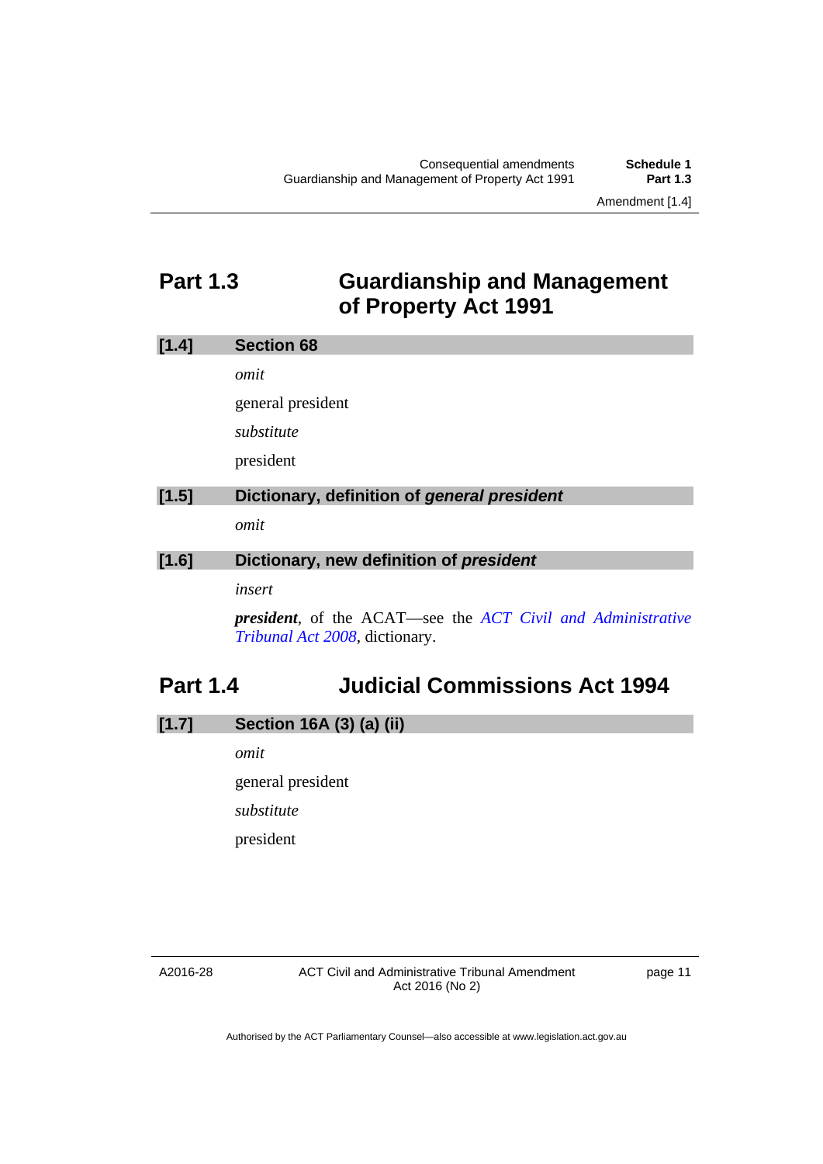## <span id="page-12-0"></span>**Part 1.3 Guardianship and Management of Property Act 1991**

| [1.4] | <b>Section 68</b>                                                                                            |
|-------|--------------------------------------------------------------------------------------------------------------|
|       | omit                                                                                                         |
|       | general president                                                                                            |
|       | substitute                                                                                                   |
|       | president                                                                                                    |
| [1.5] | Dictionary, definition of general president                                                                  |
|       | omit                                                                                                         |
| [1.6] | Dictionary, new definition of president                                                                      |
|       | insert                                                                                                       |
|       | <b>president</b> , of the ACAT—see the <i>ACT Civil and Administrative</i><br>Tribunal Act 2008, dictionary. |

# <span id="page-12-1"></span>**Part 1.4 Judicial Commissions Act 1994**

## **[1.7] Section 16A (3) (a) (ii)**

*omit*  general president *substitute*  president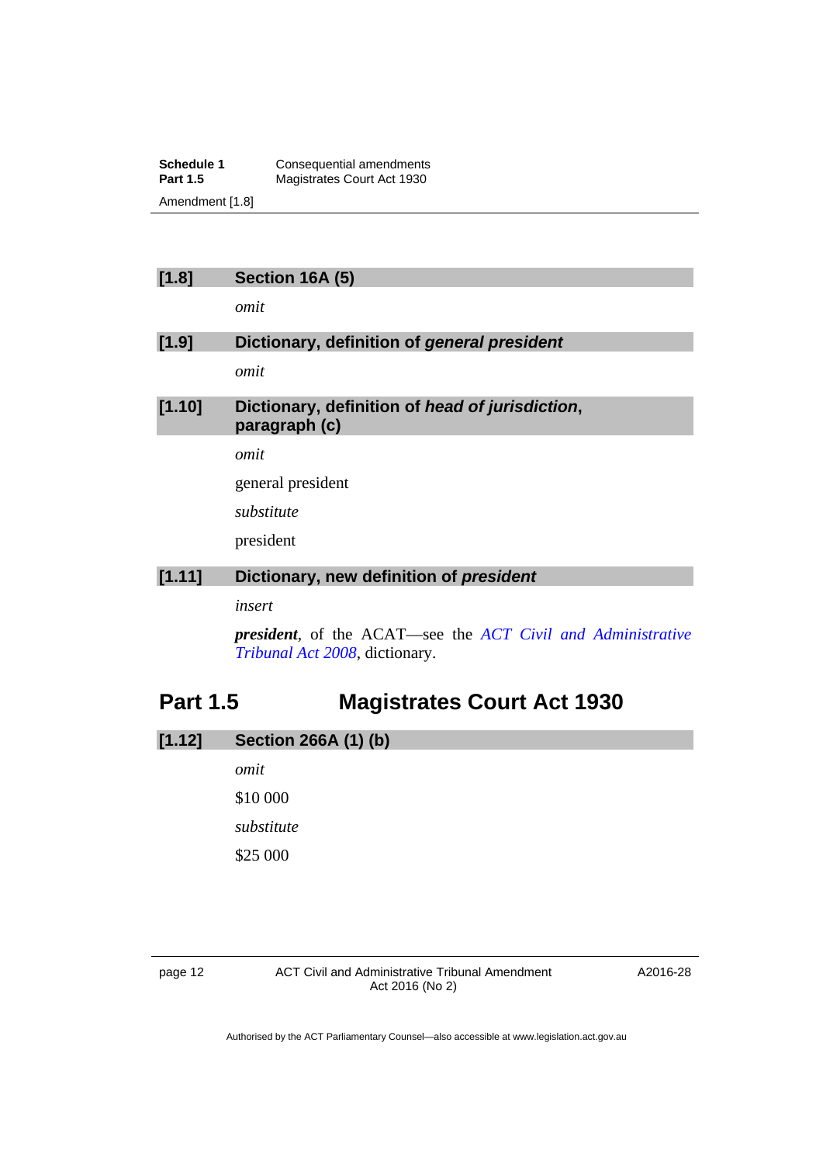**Schedule 1 Consequential amendments**<br>**Part 1.5 Magistrates Court Act 1930 Magistrates Court Act 1930** Amendment [1.8]

## **[1.8] Section 16A (5)**

*omit* 

## **[1.9] Dictionary, definition of** *general president*

*omit* 

## **[1.10] Dictionary, definition of** *head of jurisdiction***, paragraph (c)**

*omit* 

general president

*substitute* 

president

## **[1.11] Dictionary, new definition of** *president*

*insert* 

*president*, of the ACAT—see the *[ACT Civil and Administrative](http://www.legislation.act.gov.au/a/2008-35)  [Tribunal Act 2008](http://www.legislation.act.gov.au/a/2008-35)*, dictionary.

## <span id="page-13-0"></span>**Part 1.5 Magistrates Court Act 1930**

## **[1.12] Section 266A (1) (b)**

*omit* 

\$10 000 *substitute* 

\$25 000

page 12 **ACT Civil and Administrative Tribunal Amendment** Act 2016 (No 2)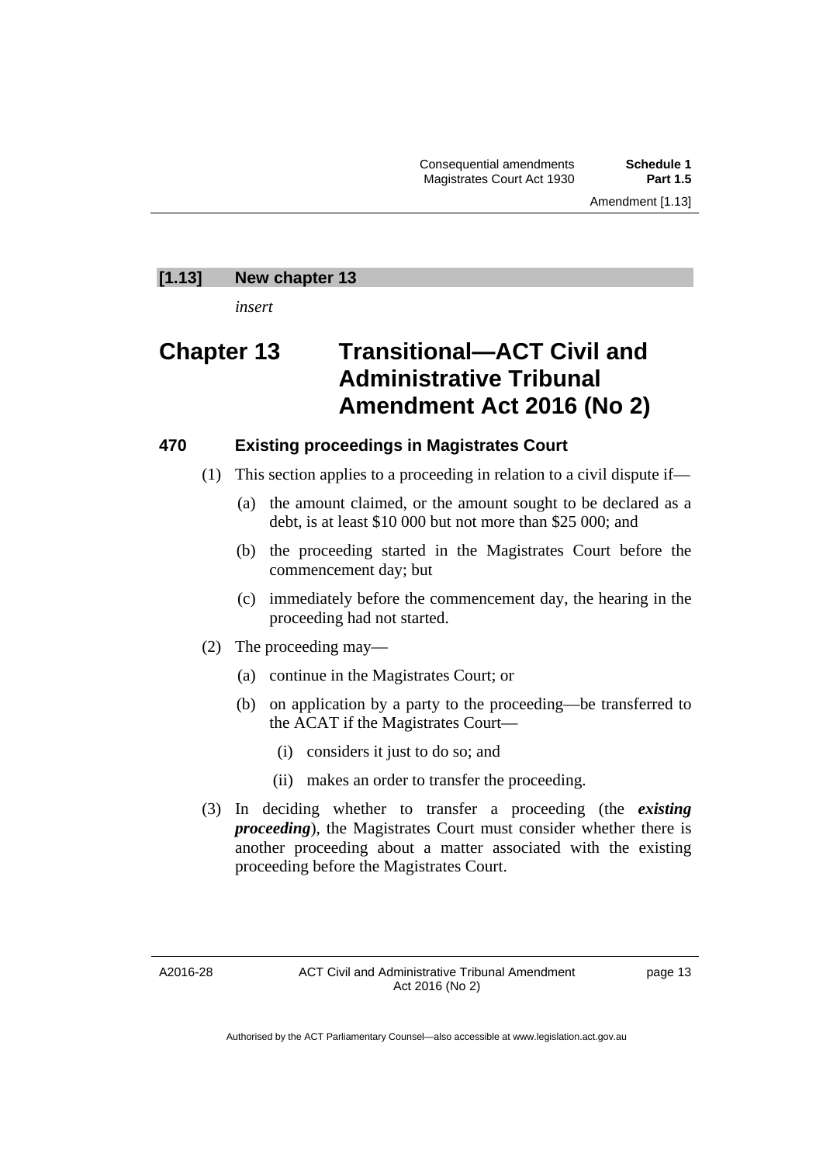Consequential amendments **Schedule 1 Magistrates Court Act 1930** 

#### **[1.13] New chapter 13**

*insert* 

## **Chapter 13 Transitional—ACT Civil and Administrative Tribunal Amendment Act 2016 (No 2)**

## **470 Existing proceedings in Magistrates Court**

- (1) This section applies to a proceeding in relation to a civil dispute if—
	- (a) the amount claimed, or the amount sought to be declared as a debt, is at least \$10 000 but not more than \$25 000; and
	- (b) the proceeding started in the Magistrates Court before the commencement day; but
	- (c) immediately before the commencement day, the hearing in the proceeding had not started.
- (2) The proceeding may—
	- (a) continue in the Magistrates Court; or
	- (b) on application by a party to the proceeding—be transferred to the ACAT if the Magistrates Court—
		- (i) considers it just to do so; and
		- (ii) makes an order to transfer the proceeding.
- (3) In deciding whether to transfer a proceeding (the *existing proceeding*), the Magistrates Court must consider whether there is another proceeding about a matter associated with the existing proceeding before the Magistrates Court.

A2016-28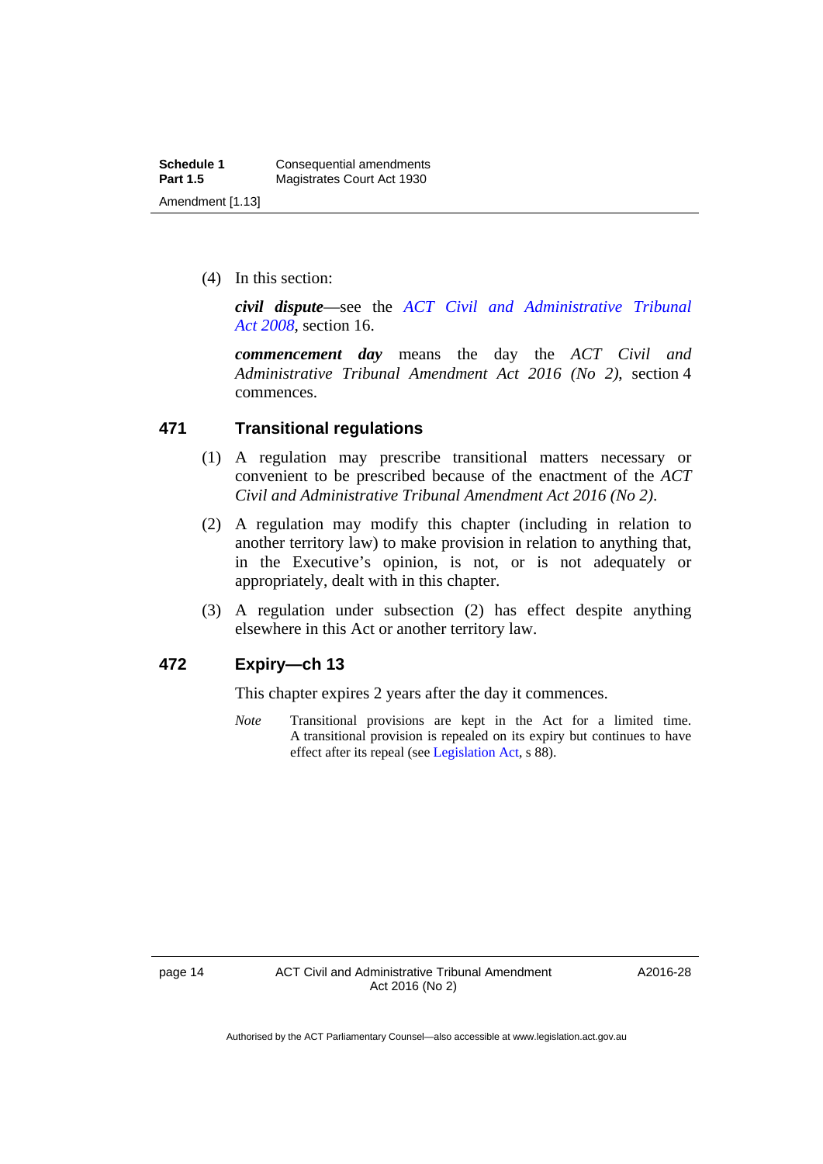(4) In this section:

*civil dispute*—see the *[ACT Civil and Administrative Tribunal](http://www.legislation.act.gov.au/a/2008-35)  [Act 2008](http://www.legislation.act.gov.au/a/2008-35)*, section 16.

*commencement day* means the day the *ACT Civil and Administrative Tribunal Amendment Act 2016 (No 2)*, section 4 commences.

## **471 Transitional regulations**

- (1) A regulation may prescribe transitional matters necessary or convenient to be prescribed because of the enactment of the *ACT Civil and Administrative Tribunal Amendment Act 2016 (No 2)*.
- (2) A regulation may modify this chapter (including in relation to another territory law) to make provision in relation to anything that, in the Executive's opinion, is not, or is not adequately or appropriately, dealt with in this chapter.
- (3) A regulation under subsection (2) has effect despite anything elsewhere in this Act or another territory law.

## **472 Expiry—ch 13**

This chapter expires 2 years after the day it commences.

*Note* Transitional provisions are kept in the Act for a limited time. A transitional provision is repealed on its expiry but continues to have effect after its repeal (see [Legislation Act,](http://www.legislation.act.gov.au/a/2001-14) s 88).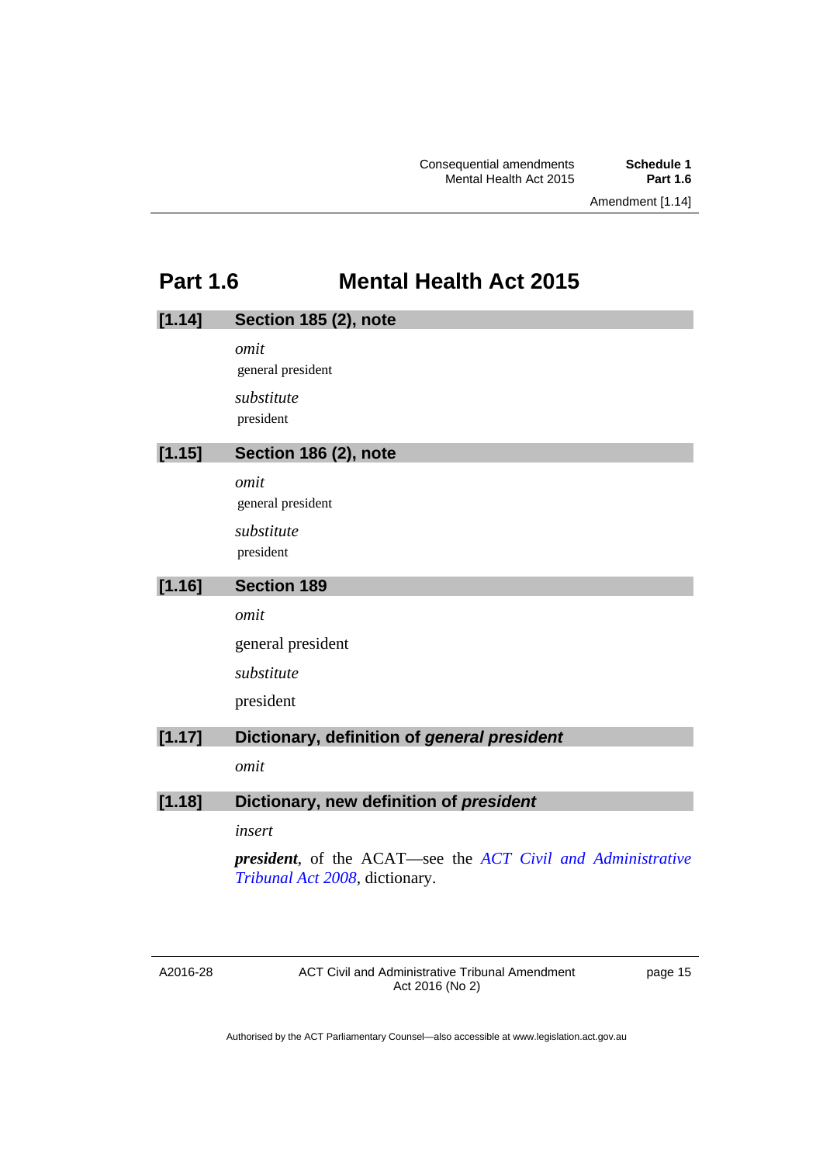## **Part 1.6 Mental Health Act 2015**

<span id="page-16-0"></span>

| [1.14] | Section 185 (2), note                                                                                        |
|--------|--------------------------------------------------------------------------------------------------------------|
|        | omit                                                                                                         |
|        | general president                                                                                            |
|        | substitute                                                                                                   |
|        | president                                                                                                    |
| [1.15] | Section 186 (2), note                                                                                        |
|        | omit                                                                                                         |
|        | general president                                                                                            |
|        | substitute                                                                                                   |
|        | president                                                                                                    |
| [1.16] | <b>Section 189</b>                                                                                           |
|        | omit                                                                                                         |
|        | general president                                                                                            |
|        | substitute                                                                                                   |
|        | president                                                                                                    |
| [1.17] | Dictionary, definition of general president                                                                  |
|        | omit                                                                                                         |
| [1.18] | Dictionary, new definition of president                                                                      |
|        |                                                                                                              |
|        | insert                                                                                                       |
|        | <b>president</b> , of the ACAT—see the <i>ACT Civil and Administrative</i><br>Tribunal Act 2008, dictionary. |

A2016-28

ACT Civil and Administrative Tribunal Amendment Act 2016 (No 2)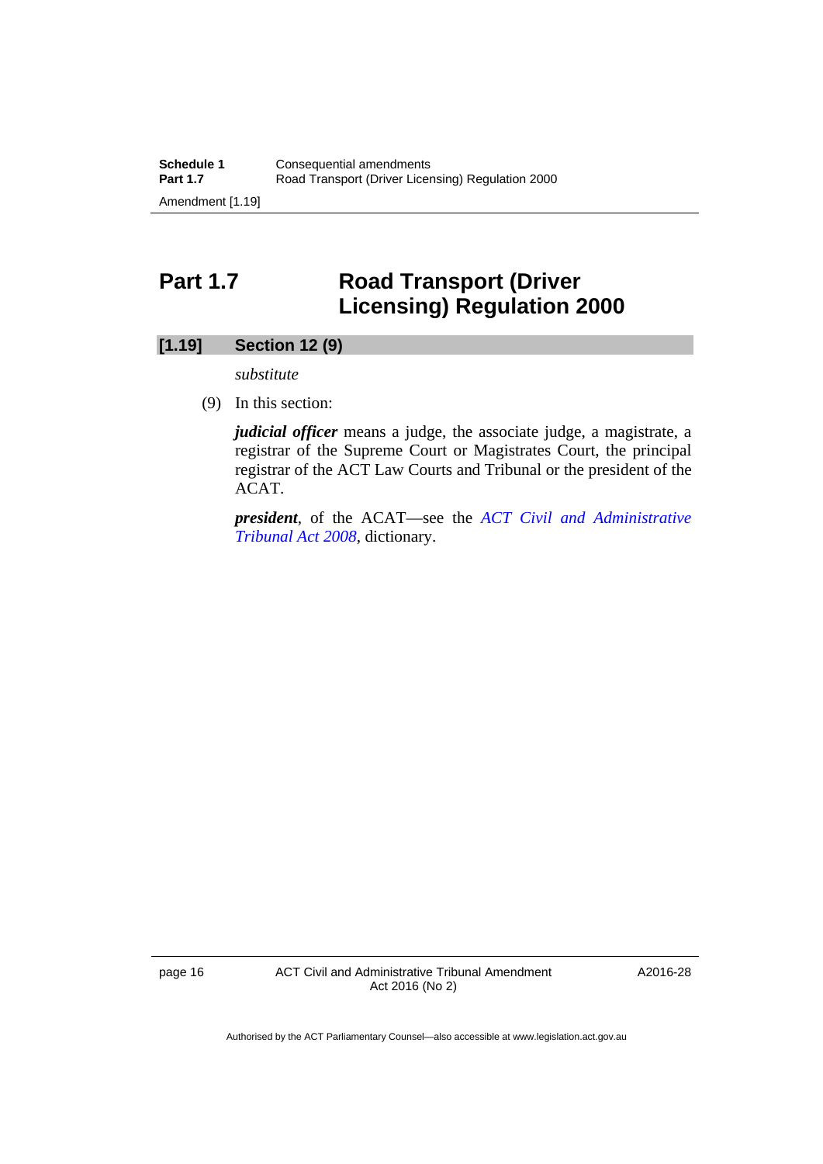## <span id="page-17-0"></span>**Part 1.7 Road Transport (Driver Licensing) Regulation 2000**

## **[1.19] Section 12 (9)**

*substitute* 

(9) In this section:

*judicial officer* means a judge, the associate judge, a magistrate, a registrar of the Supreme Court or Magistrates Court, the principal registrar of the ACT Law Courts and Tribunal or the president of the ACAT.

*president*, of the ACAT—see the *[ACT Civil and Administrative](http://www.legislation.act.gov.au/a/2008-35)  [Tribunal Act 2008](http://www.legislation.act.gov.au/a/2008-35)*, dictionary.

page 16 **ACT Civil and Administrative Tribunal Amendment** Act 2016 (No 2)

A2016-28